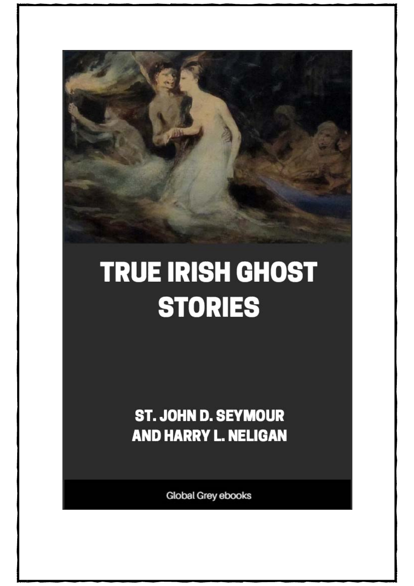

## **TRUE IRISH GHOST STORIES**

**ST. JOHN D. SEYMOUR AND HARRY L. NELIGAN** 

Global Grey ebooks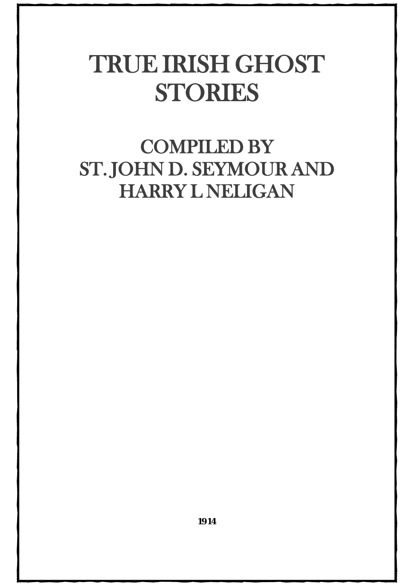## TRUE IRISH GHOST STORIES

## COMPILED BY ST. JOHN D. SEYMOUR AND HARRY L NELIGAN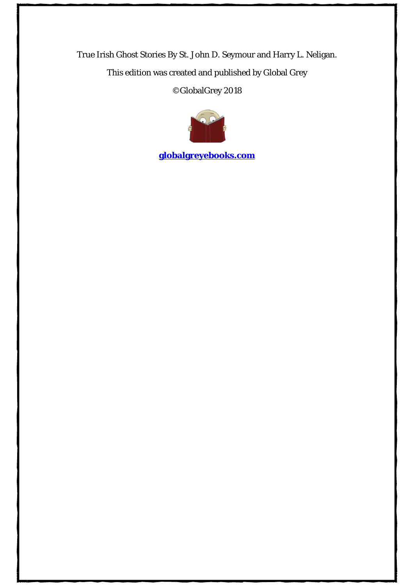True Irish Ghost Stories By St. John D. Seymour and Harry L. Neligan. This edition was created and published by Global Grey ©GlobalGrey 2018



**[globalgreyebooks.com](https://www.globalgreyebooks.com/)**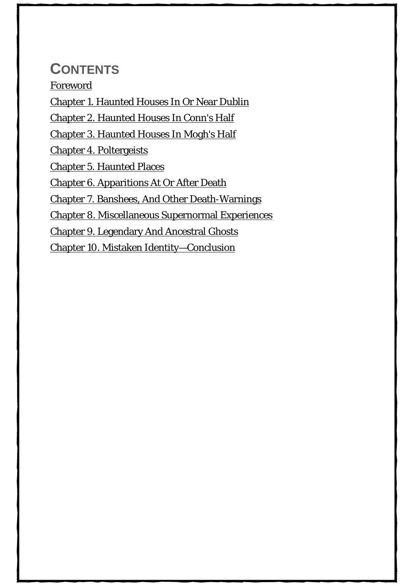## **CONTENTS**

[Foreword](#page-4-0) [Chapter 1. Haunted Houses In Or Near Dublin](#page-8-0) [Chapter 2. Haunted Houses In Conn's Half](#page-22-0) [Chapter 3. Haunted Houses In Mogh's Half](#page-32-0) [Chapter 4. Poltergeists](#page-53-0) [Chapter 5. Haunted Places](#page-63-0) [Chapter 6. Apparitions At Or After Death](#page-75-0) [Chapter 7. Banshees, And Other Death-Warnings](#page-89-0) [Chapter 8. Miscellaneous Supernormal Experiences](#page-100-0) [Chapter 9. Legendary And Ancestral Ghosts](#page-112-0)

[Chapter 10. Mistaken Identity—Conclusion](#page-124-0)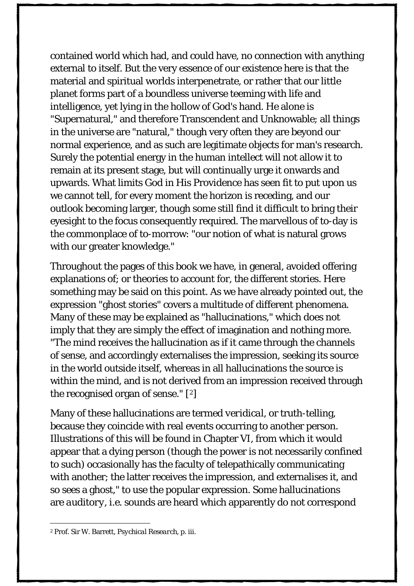contained world which had, and could have, no connection with anything external to itself. But the very essence of our existence here is that the material and spiritual worlds interpenetrate, or rather that our little planet forms part of a boundless universe teeming with life and intelligence, yet lying in the hollow of God's hand. He alone is "Supernatural," and therefore Transcendent and Unknowable; all things in the universe are "natural," though very often they are beyond our normal experience, and as such are legitimate objects for man's research. Surely the potential energy in the human intellect will not allow it to remain at its present stage, but will continually urge it onwards and upwards. What limits God in His Providence has seen fit to put upon us we cannot tell, for every moment the horizon is receding, and our outlook becoming larger, though some still find it difficult to bring their eyesight to the focus consequently required. The marvellous of to-day is the commonplace of to-morrow: "our notion of what is natural grows with our greater knowledge."

Throughout the pages of this book we have, in general, avoided offering explanations of; or theories to account for, the different stories. Here something may be said on this point. As we have already pointed out, the expression "ghost stories" covers a multitude of different phenomena. Many of these may be explained as "hallucinations," which does not imply that they are simply the effect of imagination and nothing more. "The mind receives the hallucination as if it came through the channels of sense, and accordingly externalises the impression, seeking its source in the world outside itself, whereas in all hallucinations the source is within the mind, and is not derived from an impression received through the recognised organ of sense." [[2](#page-131-0) ]

<span id="page-131-0"></span>Many of these hallucinations are termed *veridical*, or truth-telling, because they coincide with real events occurring to another person. Illustrations of this will be found in Chapter VI, from which it would appear that a dying person (though the power is not necessarily confined to such) occasionally has the faculty of telepathically communicating with another; the latter receives the impression, and externalises it, and so sees a ghost," to use the popular expression. Some hallucinations are *auditory*, *i.e.* sounds are heard which apparently do not correspond